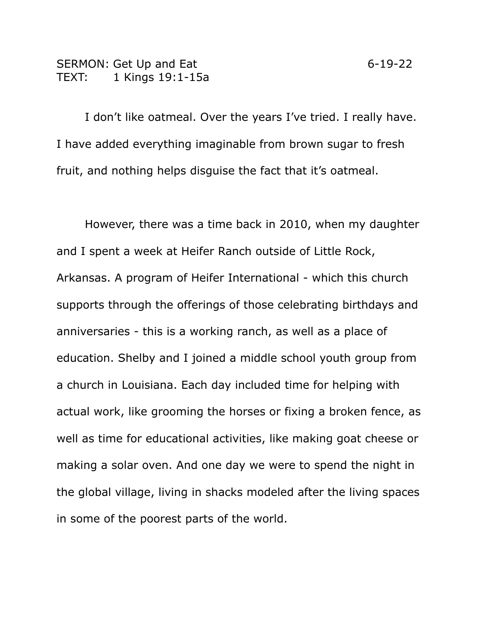## SERMON: Get Up and Eat 6-19-22 TEXT: 1 Kings 19:1-15a

I don't like oatmeal. Over the years I've tried. I really have. I have added everything imaginable from brown sugar to fresh fruit, and nothing helps disguise the fact that it's oatmeal.

However, there was a time back in 2010, when my daughter and I spent a week at Heifer Ranch outside of Little Rock, Arkansas. A program of Heifer International - which this church supports through the offerings of those celebrating birthdays and anniversaries - this is a working ranch, as well as a place of education. Shelby and I joined a middle school youth group from a church in Louisiana. Each day included time for helping with actual work, like grooming the horses or fixing a broken fence, as well as time for educational activities, like making goat cheese or making a solar oven. And one day we were to spend the night in the global village, living in shacks modeled after the living spaces in some of the poorest parts of the world.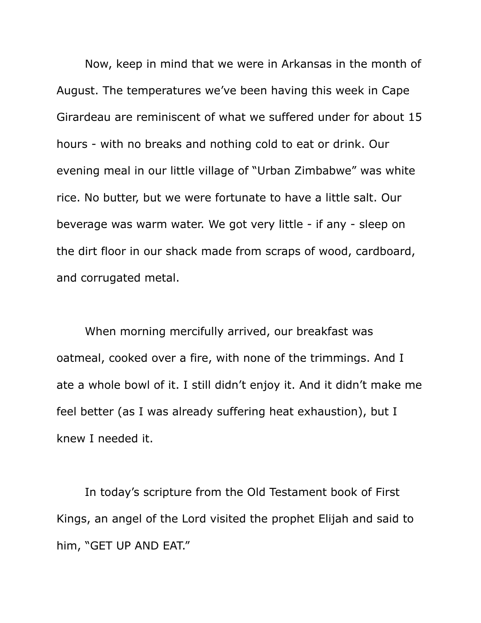Now, keep in mind that we were in Arkansas in the month of August. The temperatures we've been having this week in Cape Girardeau are reminiscent of what we suffered under for about 15 hours - with no breaks and nothing cold to eat or drink. Our evening meal in our little village of "Urban Zimbabwe" was white rice. No butter, but we were fortunate to have a little salt. Our beverage was warm water. We got very little - if any - sleep on the dirt floor in our shack made from scraps of wood, cardboard, and corrugated metal.

When morning mercifully arrived, our breakfast was oatmeal, cooked over a fire, with none of the trimmings. And I ate a whole bowl of it. I still didn't enjoy it. And it didn't make me feel better (as I was already suffering heat exhaustion), but I knew I needed it.

In today's scripture from the Old Testament book of First Kings, an angel of the Lord visited the prophet Elijah and said to him, "GET UP AND EAT."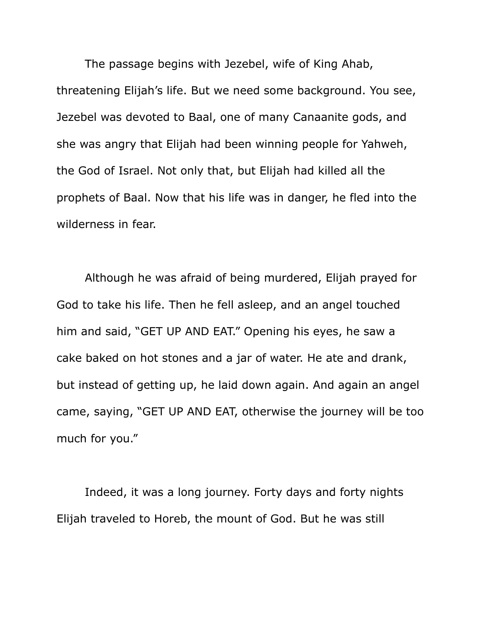The passage begins with Jezebel, wife of King Ahab, threatening Elijah's life. But we need some background. You see, Jezebel was devoted to Baal, one of many Canaanite gods, and she was angry that Elijah had been winning people for Yahweh, the God of Israel. Not only that, but Elijah had killed all the prophets of Baal. Now that his life was in danger, he fled into the wilderness in fear.

Although he was afraid of being murdered, Elijah prayed for God to take his life. Then he fell asleep, and an angel touched him and said, "GET UP AND EAT." Opening his eyes, he saw a cake baked on hot stones and a jar of water. He ate and drank, but instead of getting up, he laid down again. And again an angel came, saying, "GET UP AND EAT, otherwise the journey will be too much for you."

Indeed, it was a long journey. Forty days and forty nights Elijah traveled to Horeb, the mount of God. But he was still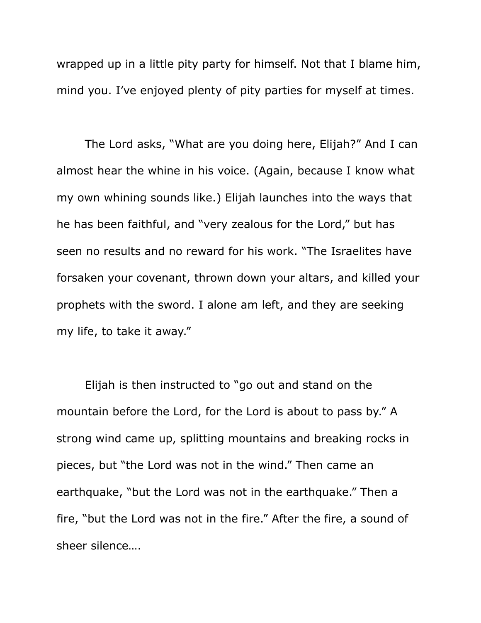wrapped up in a little pity party for himself. Not that I blame him, mind you. I've enjoyed plenty of pity parties for myself at times.

The Lord asks, "What are you doing here, Elijah?" And I can almost hear the whine in his voice. (Again, because I know what my own whining sounds like.) Elijah launches into the ways that he has been faithful, and "very zealous for the Lord," but has seen no results and no reward for his work. "The Israelites have forsaken your covenant, thrown down your altars, and killed your prophets with the sword. I alone am left, and they are seeking my life, to take it away."

Elijah is then instructed to "go out and stand on the mountain before the Lord, for the Lord is about to pass by." A strong wind came up, splitting mountains and breaking rocks in pieces, but "the Lord was not in the wind." Then came an earthquake, "but the Lord was not in the earthquake." Then a fire, "but the Lord was not in the fire." After the fire, a sound of sheer silence….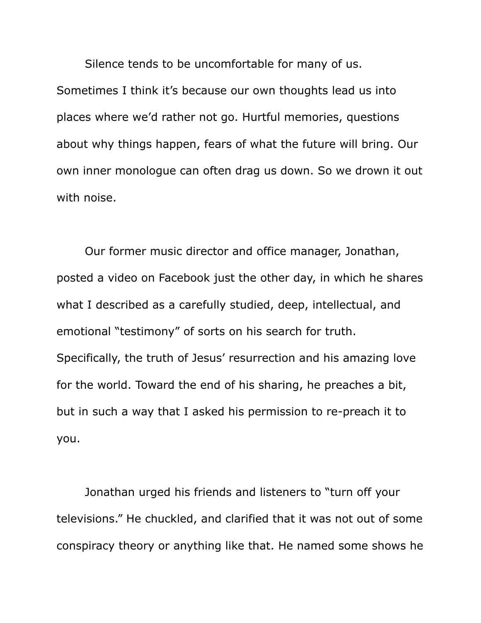Silence tends to be uncomfortable for many of us. Sometimes I think it's because our own thoughts lead us into places where we'd rather not go. Hurtful memories, questions about why things happen, fears of what the future will bring. Our own inner monologue can often drag us down. So we drown it out with noise.

Our former music director and office manager, Jonathan, posted a video on Facebook just the other day, in which he shares what I described as a carefully studied, deep, intellectual, and emotional "testimony" of sorts on his search for truth. Specifically, the truth of Jesus' resurrection and his amazing love for the world. Toward the end of his sharing, he preaches a bit, but in such a way that I asked his permission to re-preach it to you.

Jonathan urged his friends and listeners to "turn off your televisions." He chuckled, and clarified that it was not out of some conspiracy theory or anything like that. He named some shows he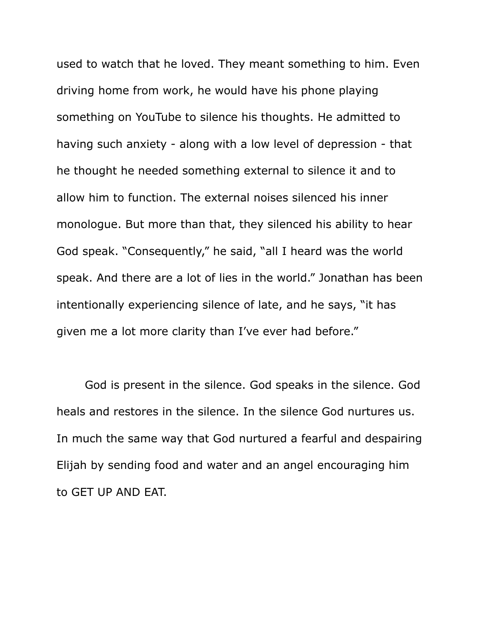used to watch that he loved. They meant something to him. Even driving home from work, he would have his phone playing something on YouTube to silence his thoughts. He admitted to having such anxiety - along with a low level of depression - that he thought he needed something external to silence it and to allow him to function. The external noises silenced his inner monologue. But more than that, they silenced his ability to hear God speak. "Consequently," he said, "all I heard was the world speak. And there are a lot of lies in the world." Jonathan has been intentionally experiencing silence of late, and he says, "it has given me a lot more clarity than I've ever had before."

God is present in the silence. God speaks in the silence. God heals and restores in the silence. In the silence God nurtures us. In much the same way that God nurtured a fearful and despairing Elijah by sending food and water and an angel encouraging him to GET UP AND EAT.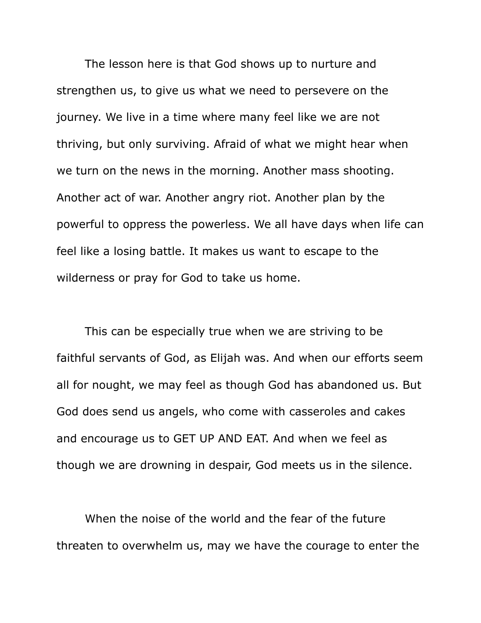The lesson here is that God shows up to nurture and strengthen us, to give us what we need to persevere on the journey. We live in a time where many feel like we are not thriving, but only surviving. Afraid of what we might hear when we turn on the news in the morning. Another mass shooting. Another act of war. Another angry riot. Another plan by the powerful to oppress the powerless. We all have days when life can feel like a losing battle. It makes us want to escape to the wilderness or pray for God to take us home.

This can be especially true when we are striving to be faithful servants of God, as Elijah was. And when our efforts seem all for nought, we may feel as though God has abandoned us. But God does send us angels, who come with casseroles and cakes and encourage us to GET UP AND EAT. And when we feel as though we are drowning in despair, God meets us in the silence.

When the noise of the world and the fear of the future threaten to overwhelm us, may we have the courage to enter the